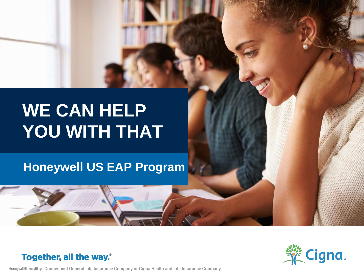# **WE CAN HELP YOU WITH THAT**

## **Honeywell US EAP Program**

#### Together, all the way.<sup>®</sup>

Honeyw@ffeeed by: Connecticut General Life Insurance Company or Cigna Health and Life Insurance Company.

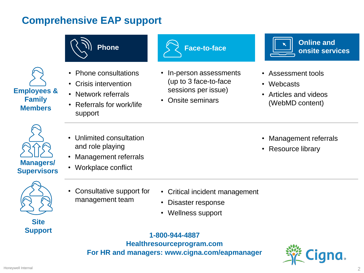### **Comprehensive EAP support**

• Consultative support for management team





**Site**

- Critical incident management
	- Disaster response
	- Wellness support

## **Support 1-800-944-4887**

**Healthresourceprogram.com For HR and managers: [www.cigna.com/eapmanager](http://www.cigna.com/eapmanager)**

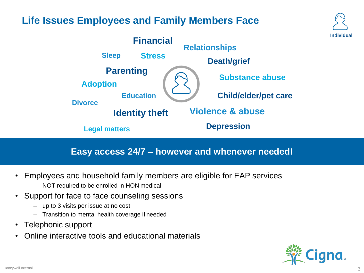#### **Life Issues Employees and Family Members Face**



#### **Easy access 24/7 – however and whenever needed!**

- Employees and household family members are eligible for EAP services
	- NOT required to be enrolled in HON medical
- Support for face to face counseling sessions
	- up to 3 visits per issue at no cost
	- Transition to mental health coverage if needed
- Telephonic support
- Online interactive tools and educational materials



**Individual**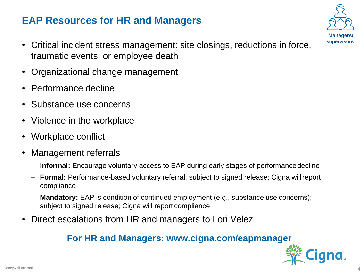## **EAP Resources for HR and Managers**

- Critical incident stress management: site closings, reductions in force, traumatic events, or employee death
- Organizational change management
- Performance decline
- Substance use concerns
- Violence in the workplace
- Workplace conflict
- Management referrals
	- **Informal:** Encourage voluntary access to EAP during early stages of performancedecline
	- **Formal:** Performance-based voluntary referral; subject to signed release; Cigna willreport compliance
	- **Mandatory:** EAP is condition of continued employment (e.g., substance use concerns); subject to signed release; Cigna will report compliance
- Direct escalations from HR and managers to Lori Velez

#### **For HR and Managers: [www.cigna.com/eapmanager](http://www.cigna.com/eapmanager)**